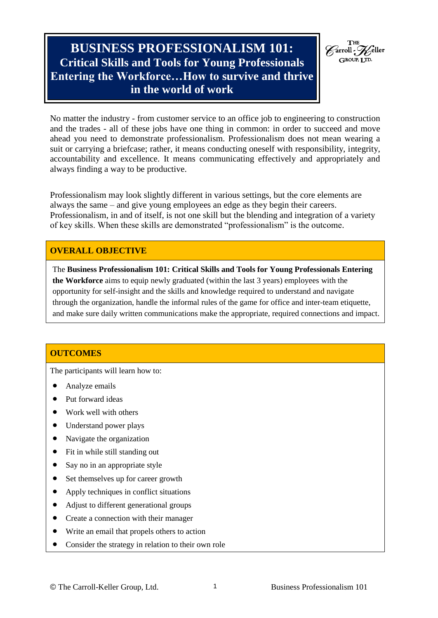# **BUSINESS PROFESSIONALISM 101: Critical Skills and Tools for Young Professionals Entering the Workforce…How to survive and thrive in the world of work**



No matter the industry - from customer service to an office job to engineering to construction and the trades - all of these jobs have one thing in common: in order to succeed and move ahead you need to demonstrate professionalism. Professionalism does not mean wearing a suit or carrying a briefcase; rather, it means conducting oneself with responsibility, integrity, accountability and excellence. It means communicating effectively and appropriately and always finding a way to be productive.

Professionalism may look slightly different in various settings, but the core elements are always the same – and give young employees an edge as they begin their careers. Professionalism, in and of itself, is not one skill but the blending and integration of a variety of key skills. When these skills are demonstrated "professionalism" is the outcome.

# **OVERALL OBJECTIVE**

The **Business Professionalism 101: Critical Skills and Tools for Young Professionals Entering the Workforce** aims to equip newly graduated (within the last 3 years) employees with the opportunity for self-insight and the skills and knowledge required to understand and navigate through the organization, handle the informal rules of the game for office and inter-team etiquette, and make sure daily written communications make the appropriate, required connections and impact.

# **OUTCOMES**

The participants will learn how to:

- Analyze emails
- Put forward ideas
- Work well with others
- Understand power plays
- Navigate the organization
- Fit in while still standing out
- Say no in an appropriate style
- Set themselves up for career growth
- Apply techniques in conflict situations
- Adjust to different generational groups
- Create a connection with their manager
- Write an email that propels others to action
- Consider the strategy in relation to their own role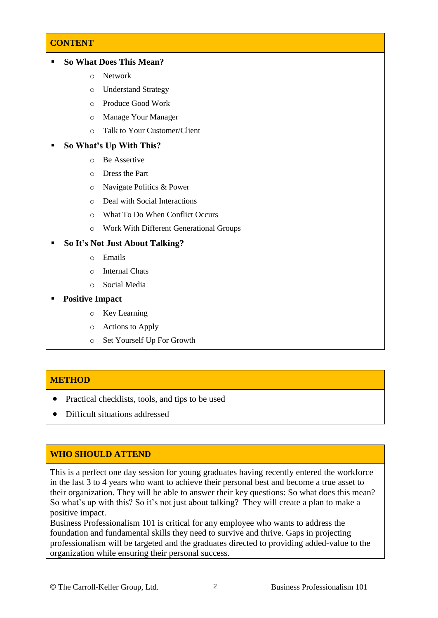# **CONTENT**

| <b>So What Does This Mean?</b> |  |
|--------------------------------|--|
|--------------------------------|--|

- o Network
- o Understand Strategy
- o Produce Good Work
- o Manage Your Manager
- o Talk to Your Customer/Client

#### **So What's Up With This?**

- o Be Assertive
- o Dress the Part
- o Navigate Politics & Power
- o Deal with Social Interactions
- o What To Do When Conflict Occurs
- o Work With Different Generational Groups

#### **So It's Not Just About Talking?**

- o Emails
- o Internal Chats
- o Social Media

#### **Positive Impact**

- o Key Learning
- o Actions to Apply
- o Set Yourself Up For Growth

#### **METHOD**

- Practical checklists, tools, and tips to be used
- Difficult situations addressed

### **WHO SHOULD ATTEND**

This is a perfect one day session for young graduates having recently entered the workforce in the last 3 to 4 years who want to achieve their personal best and become a true asset to their organization. They will be able to answer their key questions: So what does this mean? So what's up with this? So it's not just about talking? They will create a plan to make a positive impact.

Business Professionalism 101 is critical for any employee who wants to address the foundation and fundamental skills they need to survive and thrive. Gaps in projecting professionalism will be targeted and the graduates directed to providing added-value to the organization while ensuring their personal success.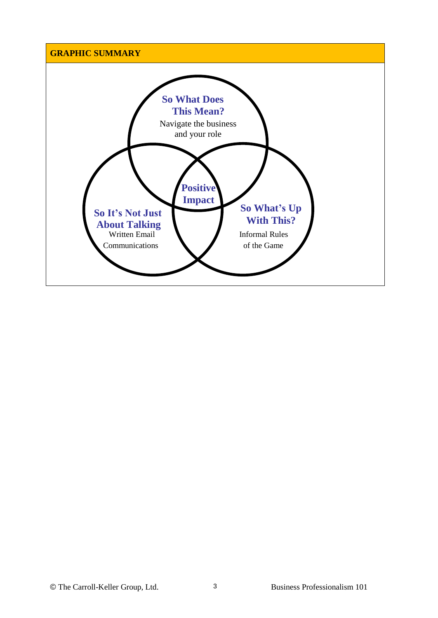